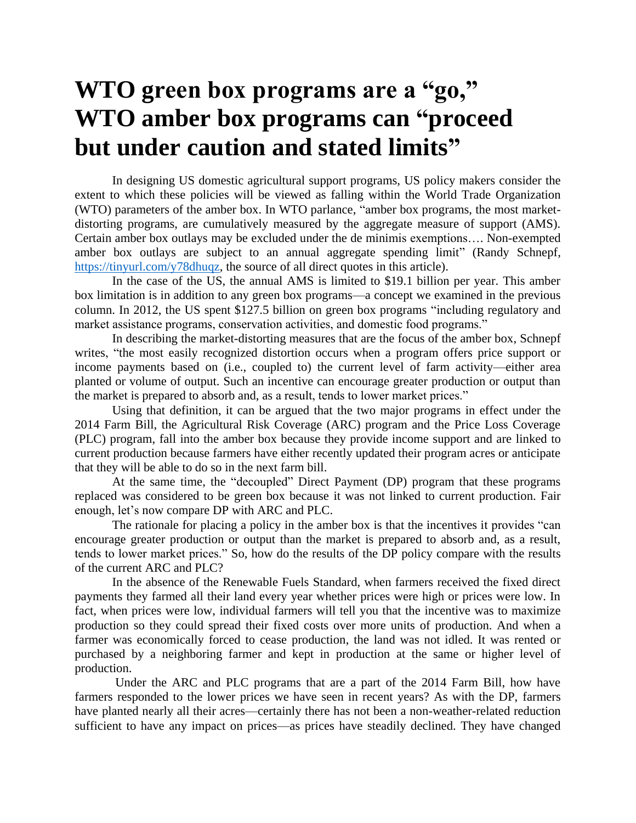## **WTO green box programs are a "go," WTO amber box programs can "proceed but under caution and stated limits"**

In designing US domestic agricultural support programs, US policy makers consider the extent to which these policies will be viewed as falling within the World Trade Organization (WTO) parameters of the amber box. In WTO parlance, "amber box programs, the most marketdistorting programs, are cumulatively measured by the aggregate measure of support (AMS). Certain amber box outlays may be excluded under the de minimis exemptions…. Non-exempted amber box outlays are subject to an annual aggregate spending limit" (Randy Schnepf, [https://tinyurl.com/y78dhuqz,](https://tinyurl.com/y78dhuqz) the source of all direct quotes in this article).

In the case of the US, the annual AMS is limited to \$19.1 billion per year. This amber box limitation is in addition to any green box programs—a concept we examined in the previous column. In 2012, the US spent \$127.5 billion on green box programs "including regulatory and market assistance programs, conservation activities, and domestic food programs."

In describing the market-distorting measures that are the focus of the amber box, Schnepf writes, "the most easily recognized distortion occurs when a program offers price support or income payments based on (i.e., coupled to) the current level of farm activity—either area planted or volume of output. Such an incentive can encourage greater production or output than the market is prepared to absorb and, as a result, tends to lower market prices."

Using that definition, it can be argued that the two major programs in effect under the 2014 Farm Bill, the Agricultural Risk Coverage (ARC) program and the Price Loss Coverage (PLC) program, fall into the amber box because they provide income support and are linked to current production because farmers have either recently updated their program acres or anticipate that they will be able to do so in the next farm bill.

At the same time, the "decoupled" Direct Payment (DP) program that these programs replaced was considered to be green box because it was not linked to current production. Fair enough, let's now compare DP with ARC and PLC.

The rationale for placing a policy in the amber box is that the incentives it provides "can encourage greater production or output than the market is prepared to absorb and, as a result, tends to lower market prices." So, how do the results of the DP policy compare with the results of the current ARC and PLC?

In the absence of the Renewable Fuels Standard, when farmers received the fixed direct payments they farmed all their land every year whether prices were high or prices were low. In fact, when prices were low, individual farmers will tell you that the incentive was to maximize production so they could spread their fixed costs over more units of production. And when a farmer was economically forced to cease production, the land was not idled. It was rented or purchased by a neighboring farmer and kept in production at the same or higher level of production.

Under the ARC and PLC programs that are a part of the 2014 Farm Bill, how have farmers responded to the lower prices we have seen in recent years? As with the DP, farmers have planted nearly all their acres—certainly there has not been a non-weather-related reduction sufficient to have any impact on prices—as prices have steadily declined. They have changed